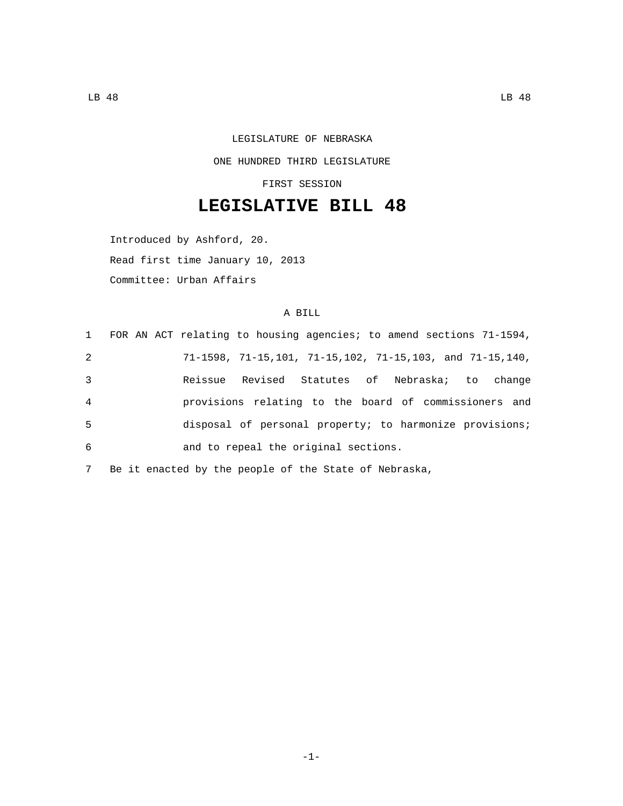## LEGISLATURE OF NEBRASKA ONE HUNDRED THIRD LEGISLATURE

FIRST SESSION

## **LEGISLATIVE BILL 48**

Introduced by Ashford, 20. Read first time January 10, 2013 Committee: Urban Affairs

## A BILL

|                | 1 FOR AN ACT relating to housing agencies; to amend sections 71-1594,                   |
|----------------|-----------------------------------------------------------------------------------------|
| 2              | $71-1598$ , $71-15$ , $101$ , $71-15$ , $102$ , $71-15$ , $103$ , and $71-15$ , $140$ , |
| 3              | Reissue Revised Statutes of Nebraska; to change                                         |
| $\overline{4}$ | provisions relating to the board of commissioners and                                   |
| 5              | disposal of personal property; to harmonize provisions;                                 |
| 6              | and to repeal the original sections.                                                    |
|                |                                                                                         |

7 Be it enacted by the people of the State of Nebraska,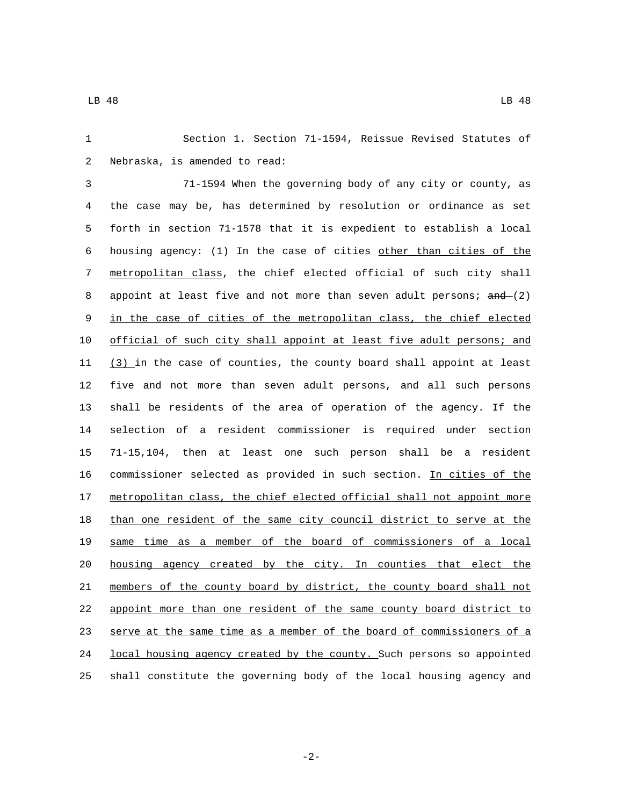Section 1. Section 71-1594, Reissue Revised Statutes of 2 Nebraska, is amended to read:

 71-1594 When the governing body of any city or county, as the case may be, has determined by resolution or ordinance as set forth in section 71-1578 that it is expedient to establish a local housing agency: (1) In the case of cities other than cities of the metropolitan class, the chief elected official of such city shall 8 appoint at least five and not more than seven adult persons; and (2) in the case of cities of the metropolitan class, the chief elected official of such city shall appoint at least five adult persons; and 11 (3) in the case of counties, the county board shall appoint at least five and not more than seven adult persons, and all such persons shall be residents of the area of operation of the agency. If the selection of a resident commissioner is required under section 71-15,104, then at least one such person shall be a resident commissioner selected as provided in such section. In cities of the 17 metropolitan class, the chief elected official shall not appoint more than one resident of the same city council district to serve at the same time as a member of the board of commissioners of a local housing agency created by the city. In counties that elect the members of the county board by district, the county board shall not appoint more than one resident of the same county board district to serve at the same time as a member of the board of commissioners of a 24 local housing agency created by the county. Such persons so appointed shall constitute the governing body of the local housing agency and

-2-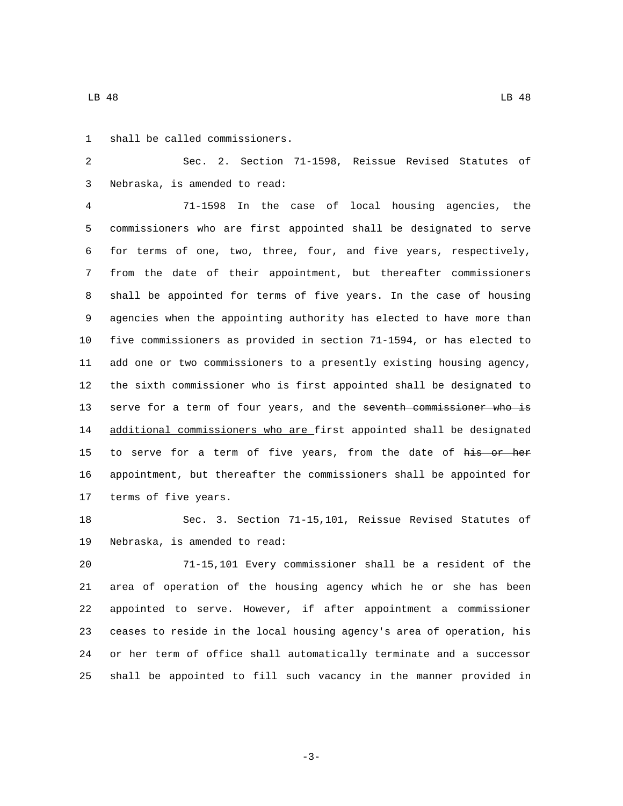LB 48 LB 48

1 shall be called commissioners.

 Sec. 2. Section 71-1598, Reissue Revised Statutes of Nebraska, is amended to read:3

 71-1598 In the case of local housing agencies, the commissioners who are first appointed shall be designated to serve for terms of one, two, three, four, and five years, respectively, from the date of their appointment, but thereafter commissioners shall be appointed for terms of five years. In the case of housing agencies when the appointing authority has elected to have more than five commissioners as provided in section 71-1594, or has elected to add one or two commissioners to a presently existing housing agency, the sixth commissioner who is first appointed shall be designated to 13 serve for a term of four years, and the seventh commissioner who is 14 additional commissioners who are first appointed shall be designated 15 to serve for a term of five years, from the date of his or her appointment, but thereafter the commissioners shall be appointed for 17 terms of five years.

 Sec. 3. Section 71-15,101, Reissue Revised Statutes of 19 Nebraska, is amended to read:

 71-15,101 Every commissioner shall be a resident of the area of operation of the housing agency which he or she has been appointed to serve. However, if after appointment a commissioner ceases to reside in the local housing agency's area of operation, his or her term of office shall automatically terminate and a successor shall be appointed to fill such vacancy in the manner provided in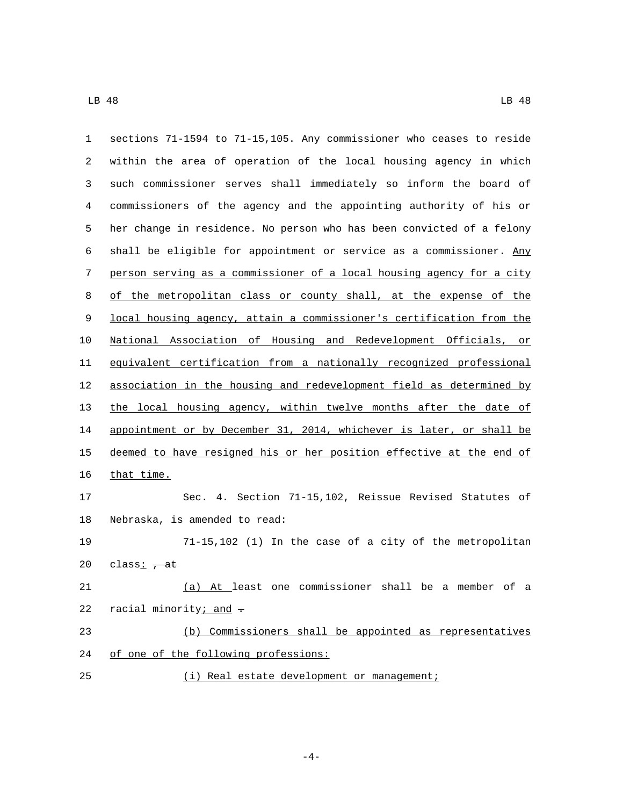| $\mathbf{1}$ | sections 71-1594 to 71-15,105. Any commissioner who ceases to reside  |
|--------------|-----------------------------------------------------------------------|
| 2            | within the area of operation of the local housing agency in which     |
| 3            | such commissioner serves shall immediately so inform the board of     |
| 4            | commissioners of the agency and the appointing authority of his or    |
| 5            | her change in residence. No person who has been convicted of a felony |
| 6            | shall be eligible for appointment or service as a commissioner. Any   |
| 7            | person serving as a commissioner of a local housing agency for a city |
| 8            | of the metropolitan class or county shall, at the expense of the      |
| 9            | local housing agency, attain a commissioner's certification from the  |
| 10           | National Association of Housing and Redevelopment Officials, or       |
| 11           | equivalent certification from a nationally recognized professional    |
| 12           | association in the housing and redevelopment field as determined by   |
| 13           | the local housing agency, within twelve months after the date of      |
| 14           | appointment or by December 31, 2014, whichever is later, or shall be  |
| 15           | deemed to have resigned his or her position effective at the end of   |
| 16           | that time.                                                            |
| 17           | Sec. 4. Section 71-15,102, Reissue Revised Statutes of                |
| 18           | Nebraska, is amended to read:                                         |
| 19           | 71-15,102 (1) In the case of a city of the metropolitan               |
| 20           | class: $\frac{1}{1}$ at                                               |
| 21           | (a) At least one commissioner shall be a member of a                  |
| 22           | racial minority; and -                                                |
| 23           | (b) Commissioners shall be appointed as representatives               |
| 24           | of one of the following professions:                                  |
| 25           | (i) Real estate development or management;                            |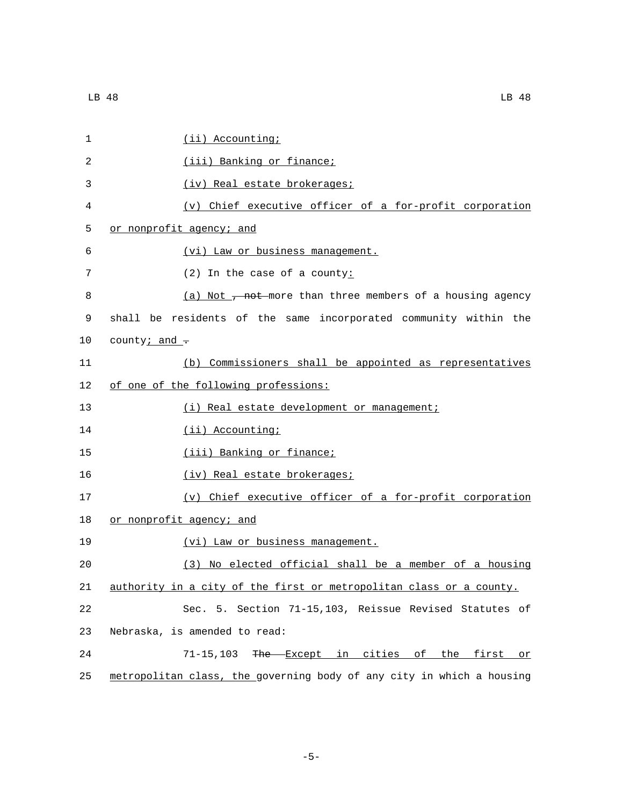| $\mathbf{1}$      | $(i)$ Accounting;                                                |
|-------------------|------------------------------------------------------------------|
| 2                 | (iii) Banking or finance;                                        |
| 3                 | (iv) Real estate brokerages;                                     |
| 4                 | (v) Chief executive officer of a for-profit corporation          |
| 5                 | or nonprofit agency; and                                         |
| 6                 | (vi) Law or business management.                                 |
| 7                 | $(2)$ In the case of a county:                                   |
| 8                 | (a) Not $\tau$ not more than three members of a housing agency   |
| 9                 | shall be residents of the same incorporated community within the |
| 10                | county; and $\tau$                                               |
| 11                | (b) Commissioners shall be appointed as representatives          |
| $12 \overline{ }$ | of one of the following professions:                             |
| 13                | (i) Real estate development or management;                       |
| 14                | (ii) Accounting;                                                 |
| 15                | (iii) Banking or finance;                                        |
| 16                | (iv) Real estate brokerages;                                     |
| 17                | (v) Chief executive officer of a for-profit corporation          |
|                   |                                                                  |

18 or nonprofit agency; and

19 (vi) Law or business management.

20 (3) No elected official shall be a member of a housing 21 authority in a city of the first or metropolitan class or a county.

22 Sec. 5. Section 71-15,103, Reissue Revised Statutes of 23 Nebraska, is amended to read:

24 71-15,103 The Except in cities of the first or 25 metropolitan class, the governing body of any city in which a housing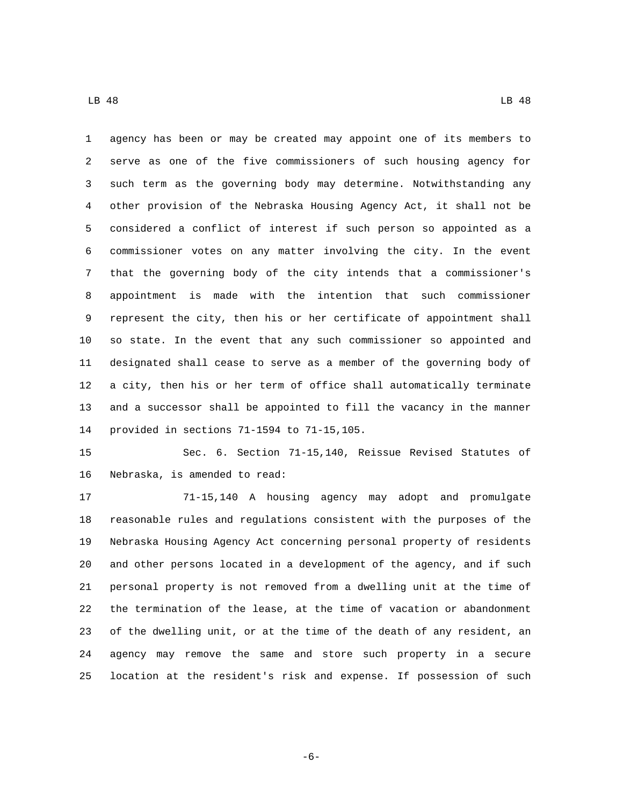agency has been or may be created may appoint one of its members to serve as one of the five commissioners of such housing agency for such term as the governing body may determine. Notwithstanding any other provision of the Nebraska Housing Agency Act, it shall not be considered a conflict of interest if such person so appointed as a commissioner votes on any matter involving the city. In the event that the governing body of the city intends that a commissioner's appointment is made with the intention that such commissioner represent the city, then his or her certificate of appointment shall so state. In the event that any such commissioner so appointed and designated shall cease to serve as a member of the governing body of a city, then his or her term of office shall automatically terminate and a successor shall be appointed to fill the vacancy in the manner 14 provided in sections 71-1594 to 71-15,105.

 Sec. 6. Section 71-15,140, Reissue Revised Statutes of 16 Nebraska, is amended to read:

 71-15,140 A housing agency may adopt and promulgate reasonable rules and regulations consistent with the purposes of the Nebraska Housing Agency Act concerning personal property of residents and other persons located in a development of the agency, and if such personal property is not removed from a dwelling unit at the time of the termination of the lease, at the time of vacation or abandonment of the dwelling unit, or at the time of the death of any resident, an agency may remove the same and store such property in a secure location at the resident's risk and expense. If possession of such

LB 48 LB 48